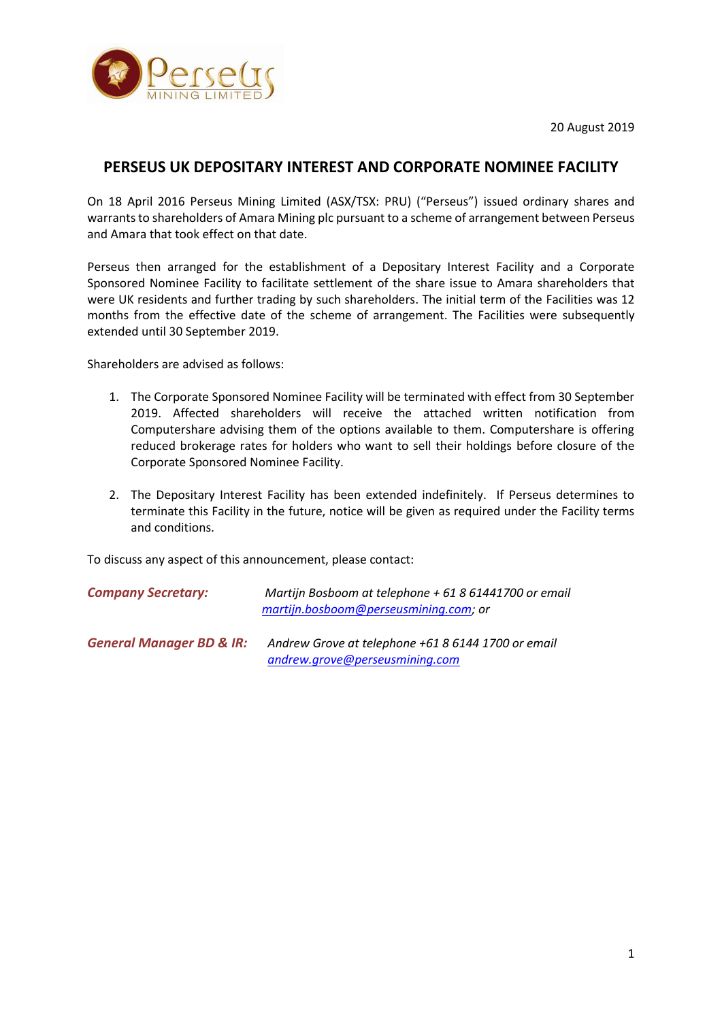20 August 2019



# **PERSEUS UK DEPOSITARY INTEREST AND CORPORATE NOMINEE FACILITY**

On 18 April 2016 Perseus Mining Limited (ASX/TSX: PRU) ("Perseus") issued ordinary shares and warrants to shareholders of Amara Mining plc pursuant to a scheme of arrangement between Perseus and Amara that took effect on that date.

Perseus then arranged for the establishment of a Depositary Interest Facility and a Corporate Sponsored Nominee Facility to facilitate settlement of the share issue to Amara shareholders that were UK residents and further trading by such shareholders. The initial term of the Facilities was 12 months from the effective date of the scheme of arrangement. The Facilities were subsequently extended until 30 September 2019.

Shareholders are advised as follows:

- 1. The Corporate Sponsored Nominee Facility will be terminated with effect from 30 September 2019. Affected shareholders will receive the attached written notification from Computershare advising them of the options available to them. Computershare is offering reduced brokerage rates for holders who want to sell their holdings before closure of the Corporate Sponsored Nominee Facility.
- 2. The Depositary Interest Facility has been extended indefinitely. If Perseus determines to terminate this Facility in the future, notice will be given as required under the Facility terms and conditions.

To discuss any aspect of this announcement, please contact:

*Company Secretary: Martijn Bosboom at telephone + 61 8 61441700 or email [martijn.bosboom@perseusmining.com;](mailto:martijn.bosboom@perseusmining.com) or*

*General Manager BD & IR: Andrew Grove at telephone +61 8 6144 1700 or email [andrew.grove@perseusmining.com](mailto:andrew.grove@perseusmining.com)*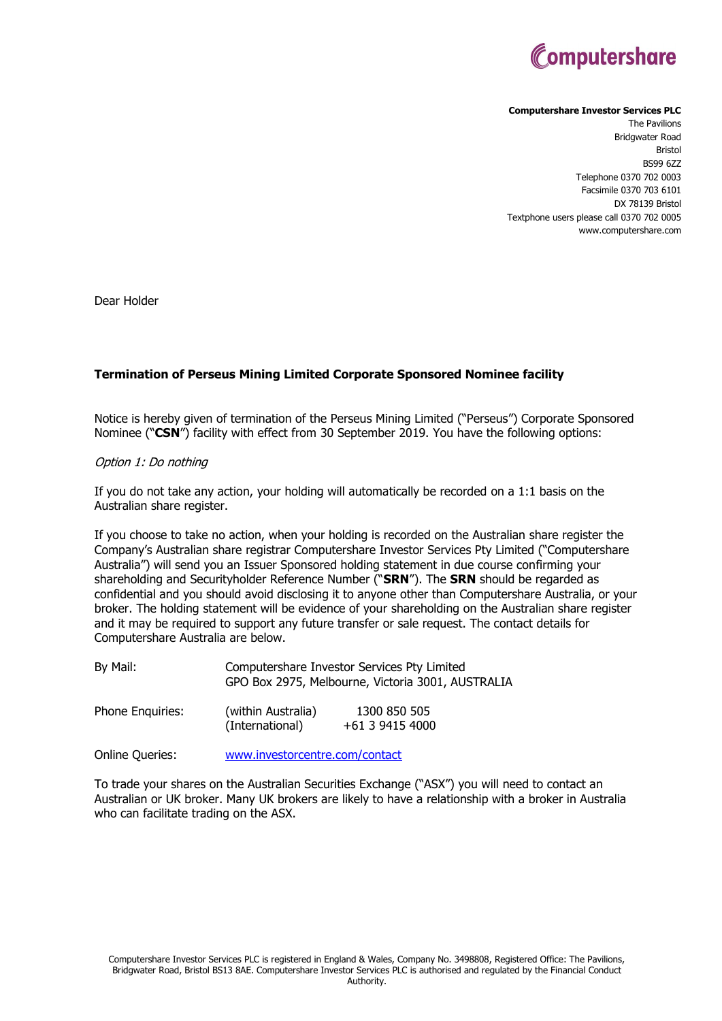

#### **Computershare Investor Services PLC**

The Pavilions Bridgwater Road Bristol BS99 6ZZ Telephone 0370 702 0003 Facsimile 0370 703 6101 DX 78139 Bristol Textphone users please call 0370 702 0005 www.computershare.com

Dear Holder

## **Termination of Perseus Mining Limited Corporate Sponsored Nominee facility**

Notice is hereby given of termination of the Perseus Mining Limited ("Perseus") Corporate Sponsored Nominee ("**CSN**") facility with effect from 30 September 2019. You have the following options:

#### Option 1: Do nothing

If you do not take any action, your holding will automatically be recorded on a 1:1 basis on the Australian share register.

If you choose to take no action, when your holding is recorded on the Australian share register the Company's Australian share registrar Computershare Investor Services Pty Limited ("Computershare Australia") will send you an Issuer Sponsored holding statement in due course confirming your shareholding and Securityholder Reference Number ("**SRN**"). The **SRN** should be regarded as confidential and you should avoid disclosing it to anyone other than Computershare Australia, or your broker. The holding statement will be evidence of your shareholding on the Australian share register and it may be required to support any future transfer or sale request. The contact details for Computershare Australia are below.

| By Mail:         |                                       | Computershare Investor Services Pty Limited<br>GPO Box 2975, Melbourne, Victoria 3001, AUSTRALIA |  |
|------------------|---------------------------------------|--------------------------------------------------------------------------------------------------|--|
| Phone Enquiries: | (within Australia)<br>(International) | 1300 850 505<br>+61 3 9415 4000                                                                  |  |

Online Queries: [www.investorcentre.com/contact](http://www.investorcentre.com/contact)

To trade your shares on the Australian Securities Exchange ("ASX") you will need to contact an Australian or UK broker. Many UK brokers are likely to have a relationship with a broker in Australia who can facilitate trading on the ASX.